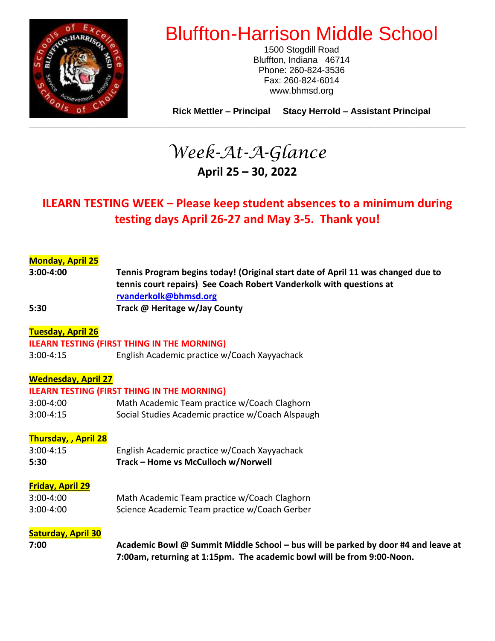

# Bluffton-Harrison Middle School

1500 Stogdill Road Bluffton, Indiana 46714 Phone: 260-824-3536 Fax: 260-824-6014 www.bhmsd.org

**Rick Mettler – Principal Stacy Herrold – Assistant Principal**

# *Week-At-A-Glance* **April 25 – 30, 2022**

# **ILEARN TESTING WEEK – Please keep student absences to a minimum during testing days April 26-27 and May 3-5. Thank you!**

## **Monday, April 25**

**3:00-4:00 Tennis Program begins today! (Original start date of April 11 was changed due to tennis court repairs) See Coach Robert Vanderkolk with questions at [rvanderkolk@bhmsd.org](mailto:rvanderkolk@bhmsd.org) 5:30 Track @ Heritage w/Jay County**

#### **Tuesday, April 26**

#### **ILEARN TESTING (FIRST THING IN THE MORNING)**

3:00-4:15 English Academic practice w/Coach Xayyachack

### **Wednesday, April 27**

#### **ILEARN TESTING (FIRST THING IN THE MORNING)**

3:00-4:00 Math Academic Team practice w/Coach Claghorn 3:00-4:15 Social Studies Academic practice w/Coach Alspaugh

# **Thursday, , April 28**

3:00-4:15 English Academic practice w/Coach Xayyachack **5:30 Track – Home vs McCulloch w/Norwell**

#### **Friday, April 29**

| $3:00 - 4:00$ | Math Academic Team practice w/Coach Claghorn  |
|---------------|-----------------------------------------------|
| $3:00 - 4:00$ | Science Academic Team practice w/Coach Gerber |

#### **Saturday, April 30**

**7:00 Academic Bowl @ Summit Middle School – bus will be parked by door #4 and leave at 7:00am, returning at 1:15pm. The academic bowl will be from 9:00-Noon.**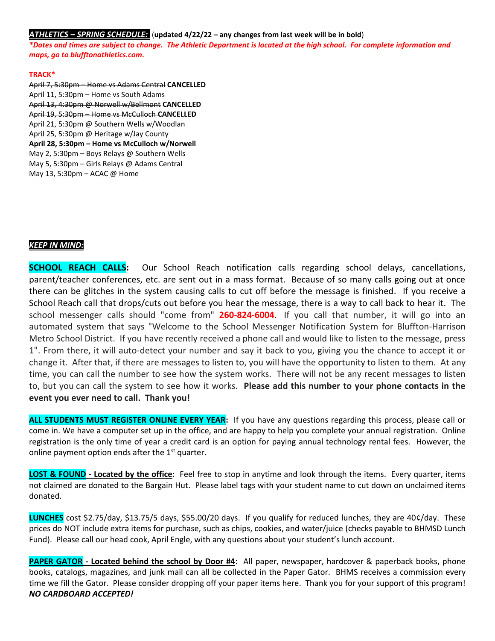#### *ATHLETICS – SPRING SCHEDULE:* (**updated 4/22/22 – any changes from last week will be in bold**)

*\*Dates and times are subject to change. The Athletic Department is located at the high school. For complete information and maps, go to blufftonathletics.com.*

#### **TRACK\***

April 7, 5:30pm – Home vs Adams Central **CANCELLED** April 11, 5:30pm – Home vs South Adams April 13, 4:30pm @ Norwell w/Bellmont **CANCELLED** April 19, 5:30pm – Home vs McCulloch **CANCELLED** April 21, 5:30pm @ Southern Wells w/Woodlan April 25, 5:30pm @ Heritage w/Jay County **April 28, 5:30pm – Home vs McCulloch w/Norwell** May 2, 5:30pm – Boys Relays @ Southern Wells May 5, 5:30pm – Girls Relays @ Adams Central May 13, 5:30pm – ACAC @ Home

#### *KEEP IN MIND:*

**SCHOOL REACH CALLS:** Our School Reach notification calls regarding school delays, cancellations, parent/teacher conferences, etc. are sent out in a mass format. Because of so many calls going out at once there can be glitches in the system causing calls to cut off before the message is finished. If you receive a School Reach call that drops/cuts out before you hear the message, there is a way to call back to hear it. The school messenger calls should "come from" **260-824-6004**. If you call that number, it will go into an automated system that says "Welcome to the School Messenger Notification System for Bluffton-Harrison Metro School District. If you have recently received a phone call and would like to listen to the message, press 1". From there, it will auto-detect your number and say it back to you, giving you the chance to accept it or change it. After that, if there are messages to listen to, you will have the opportunity to listen to them. At any time, you can call the number to see how the system works. There will not be any recent messages to listen to, but you can call the system to see how it works. **Please add this number to your phone contacts in the event you ever need to call. Thank you!**

**ALL STUDENTS MUST REGISTER ONLINE EVERY YEAR:** If you have any questions regarding this process, please call or come in. We have a computer set up in the office, and are happy to help you complete your annual registration. Online registration is the only time of year a credit card is an option for paying annual technology rental fees. However, the online payment option ends after the  $1<sup>st</sup>$  quarter.

**LOST & FOUND - Located by the office**: Feel free to stop in anytime and look through the items. Every quarter, items not claimed are donated to the Bargain Hut. Please label tags with your student name to cut down on unclaimed items donated.

**LUNCHES** cost \$2.75/day, \$13.75/5 days, \$55.00/20 days. If you qualify for reduced lunches, they are 40¢/day. These prices do NOT include extra items for purchase, such as chips, cookies, and water/juice (checks payable to BHMSD Lunch Fund). Please call our head cook, April Engle, with any questions about your student's lunch account.

**PAPER GATOR - Located behind the school by Door #4**: All paper, newspaper, hardcover & paperback books, phone books, catalogs, magazines, and junk mail can all be collected in the Paper Gator. BHMS receives a commission every time we fill the Gator. Please consider dropping off your paper items here. Thank you for your support of this program! *NO CARDBOARD ACCEPTED!*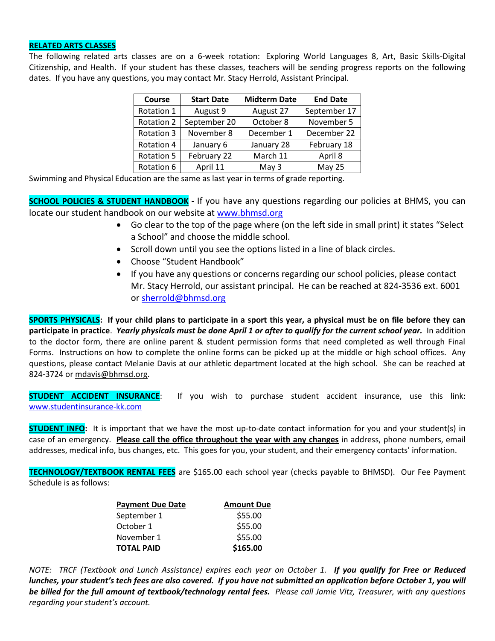#### **RELATED ARTS CLASSES**

The following related arts classes are on a 6-week rotation: Exploring World Languages 8, Art, Basic Skills-Digital Citizenship, and Health. If your student has these classes, teachers will be sending progress reports on the following dates. If you have any questions, you may contact Mr. Stacy Herrold, Assistant Principal.

| Course     | <b>Start Date</b> | <b>Midterm Date</b> | <b>End Date</b> |
|------------|-------------------|---------------------|-----------------|
| Rotation 1 | August 9          | August 27           | September 17    |
| Rotation 2 | September 20      | October 8           | November 5      |
| Rotation 3 | November 8        | December 1          | December 22     |
| Rotation 4 | January 6         | January 28          | February 18     |
| Rotation 5 | February 22       | March 11            | April 8         |
| Rotation 6 | April 11          | May 3               | <b>May 25</b>   |

Swimming and Physical Education are the same as last year in terms of grade reporting.

**SCHOOL POLICIES & STUDENT HANDBOOK -** If you have any questions regarding our policies at BHMS, you can locate our student handbook on our website at [www.bhmsd.org](http://www.bhmsd.org/)

- Go clear to the top of the page where (on the left side in small print) it states "Select a School" and choose the middle school.
- Scroll down until you see the options listed in a line of black circles.
- Choose "Student Handbook"
- If you have any questions or concerns regarding our school policies, please contact Mr. Stacy Herrold, our assistant principal. He can be reached at 824-3536 ext. 6001 or [sherrold@bhmsd.org](mailto:sherrold@bhmsd.org)

**SPORTS PHYSICALS: If your child plans to participate in a sport this year, a physical must be on file before they can participate in practice**. *Yearly physicals must be done April 1 or after to qualify for the current school year.* In addition to the doctor form, there are online parent & student permission forms that need completed as well through Final Forms. Instructions on how to complete the online forms can be picked up at the middle or high school offices. Any questions, please contact Melanie Davis at our athletic department located at the high school. She can be reached at 824-3724 or [mdavis@bhmsd.org.](mailto:mdavis@bhmsd.org)

**STUDENT ACCIDENT INSURANCE:** If you wish to purchase student accident insurance, use this link: [www.studentinsurance-kk.com](http://www.studentinsurance-kk.com/)

**STUDENT INFO:** It is important that we have the most up-to-date contact information for you and your student(s) in case of an emergency. **Please call the office throughout the year with any changes** in address, phone numbers, email addresses, medical info, bus changes, etc. This goes for you, your student, and their emergency contacts' information.

**TECHNOLOGY/TEXTBOOK RENTAL FEES** are \$165.00 each school year (checks payable to BHMSD). Our Fee Payment Schedule is as follows:

| <b>Payment Due Date</b> | <b>Amount Due</b> |
|-------------------------|-------------------|
| September 1             | \$55.00           |
| October 1               | \$55.00           |
| November 1              | \$55.00           |
| <b>TOTAL PAID</b>       | \$165.00          |

*NOTE: TRCF (Textbook and Lunch Assistance) expires each year on October 1. If you qualify for Free or Reduced lunches, your student's tech fees are also covered. If you have not submitted an application before October 1, you will be billed for the full amount of textbook/technology rental fees. Please call Jamie Vitz, Treasurer, with any questions regarding your student's account.*